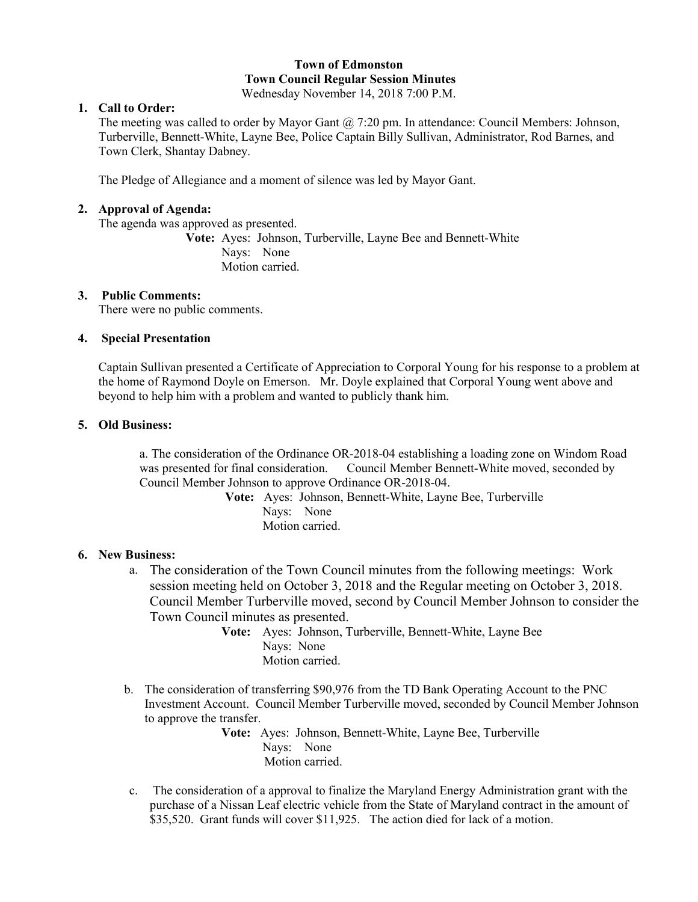# **Town of Edmonston Town Council Regular Session Minutes**

Wednesday November 14, 2018 7:00 P.M.

# **1. Call to Order:**

The meeting was called to order by Mayor Gant  $(2, 7:20 \text{ pm}$ . In attendance: Council Members: Johnson, Turberville, Bennett-White, Layne Bee, Police Captain Billy Sullivan, Administrator, Rod Barnes, and Town Clerk, Shantay Dabney.

The Pledge of Allegiance and a moment of silence was led by Mayor Gant.

## **2. Approval of Agenda:**

The agenda was approved as presented.

**Vote:** Ayes: Johnson, Turberville, Layne Bee and Bennett-White Nays: None Motion carried.

#### **3. Public Comments:**

There were no public comments.

### **4. Special Presentation**

Captain Sullivan presented a Certificate of Appreciation to Corporal Young for his response to a problem at the home of Raymond Doyle on Emerson. Mr. Doyle explained that Corporal Young went above and beyond to help him with a problem and wanted to publicly thank him.

### **5. Old Business:**

a. The consideration of the Ordinance OR-2018-04 establishing a loading zone on Windom Road was presented for final consideration. Council Member Bennett-White moved, seconded by Council Member Johnson to approve Ordinance OR-2018-04.

> **Vote:** Ayes: Johnson, Bennett-White, Layne Bee, Turberville Nays: None Motion carried.

## **6. New Business:**

- a. The consideration of the Town Council minutes from the following meetings: Work session meeting held on October 3, 2018 and the Regular meeting on October 3, 2018. Council Member Turberville moved, second by Council Member Johnson to consider the Town Council minutes as presented.
	- **Vote:** Ayes: Johnson, Turberville, Bennett-White, Layne Bee Nays: None Motion carried.
- b. The consideration of transferring \$90,976 from the TD Bank Operating Account to the PNC Investment Account. Council Member Turberville moved, seconded by Council Member Johnson to approve the transfer.

**Vote:** Ayes: Johnson, Bennett-White, Layne Bee, Turberville Nays: None Motion carried.

c. The consideration of a approval to finalize the Maryland Energy Administration grant with the purchase of a Nissan Leaf electric vehicle from the State of Maryland contract in the amount of \$35,520. Grant funds will cover \$11,925. The action died for lack of a motion.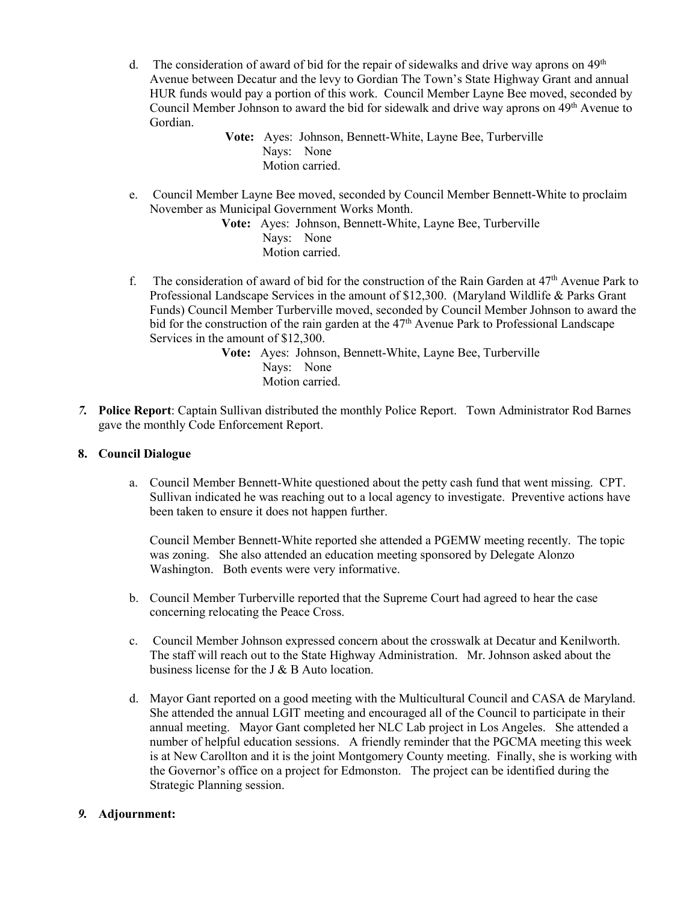d. The consideration of award of bid for the repair of sidewalks and drive way aprons on  $49<sup>th</sup>$ Avenue between Decatur and the levy to Gordian The Town's State Highway Grant and annual HUR funds would pay a portion of this work. Council Member Layne Bee moved, seconded by Council Member Johnson to award the bid for sidewalk and drive way aprons on 49th Avenue to Gordian.

> **Vote:** Ayes: Johnson, Bennett-White, Layne Bee, Turberville Nays: None Motion carried.

e. Council Member Layne Bee moved, seconded by Council Member Bennett-White to proclaim November as Municipal Government Works Month.

**Vote:** Ayes: Johnson, Bennett-White, Layne Bee, Turberville Nays: None Motion carried.

f. The consideration of award of bid for the construction of the Rain Garden at 47th Avenue Park to Professional Landscape Services in the amount of \$12,300. (Maryland Wildlife & Parks Grant Funds) Council Member Turberville moved, seconded by Council Member Johnson to award the bid for the construction of the rain garden at the 47<sup>th</sup> Avenue Park to Professional Landscape Services in the amount of \$12,300.

> **Vote:** Ayes: Johnson, Bennett-White, Layne Bee, Turberville Nays: None Motion carried.

*7.* **Police Report**: Captain Sullivan distributed the monthly Police Report. Town Administrator Rod Barnes gave the monthly Code Enforcement Report.

#### **8. Council Dialogue**

a. Council Member Bennett-White questioned about the petty cash fund that went missing. CPT. Sullivan indicated he was reaching out to a local agency to investigate. Preventive actions have been taken to ensure it does not happen further.

Council Member Bennett-White reported she attended a PGEMW meeting recently. The topic was zoning. She also attended an education meeting sponsored by Delegate Alonzo Washington. Both events were very informative.

- b. Council Member Turberville reported that the Supreme Court had agreed to hear the case concerning relocating the Peace Cross.
- c. Council Member Johnson expressed concern about the crosswalk at Decatur and Kenilworth. The staff will reach out to the State Highway Administration. Mr. Johnson asked about the business license for the J & B Auto location.
- d. Mayor Gant reported on a good meeting with the Multicultural Council and CASA de Maryland. She attended the annual LGIT meeting and encouraged all of the Council to participate in their annual meeting. Mayor Gant completed her NLC Lab project in Los Angeles. She attended a number of helpful education sessions. A friendly reminder that the PGCMA meeting this week is at New Carollton and it is the joint Montgomery County meeting. Finally, she is working with the Governor's office on a project for Edmonston. The project can be identified during the Strategic Planning session.

## *9.* **Adjournment:**